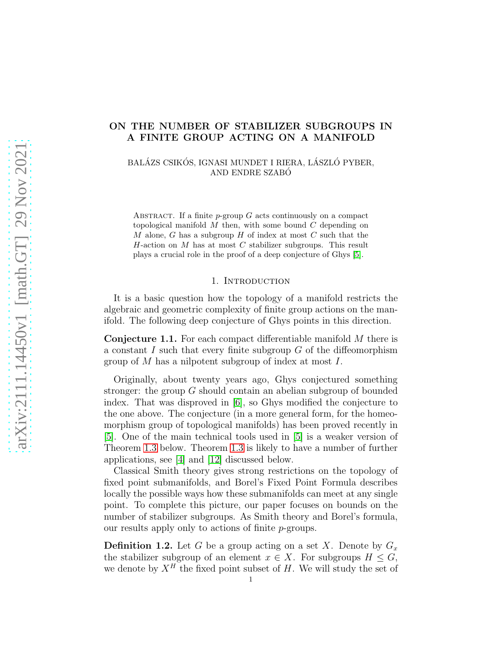# ON THE NUMBER OF STABILIZER SUBGROUPS IN A FINITE GROUP ACTING ON A MANIFOLD

BALÁZS CSIKÓS, IGNASI MUNDET I RIERA, LÁSZLÓ PYBER, AND ENDRE SZABO´

ABSTRACT. If a finite  $p$ -group  $G$  acts continuously on a compact topological manifold  $M$  then, with some bound  $C$  depending on M alone, G has a subgroup  $H$  of index at most  $C$  such that the  $H$ -action on  $M$  has at most  $C$  stabilizer subgroups. This result plays a crucial role in the proof of a deep conjecture of Ghys [\[5\]](#page-23-0).

#### 1. INTRODUCTION

It is a basic question how the topology of a manifold restricts the algebraic and geometric complexity of finite group actions on the manifold. The following deep conjecture of Ghys points in this direction.

Conjecture 1.1. For each compact differentiable manifold M there is a constant I such that every finite subgroup  $G$  of the diffeomorphism group of  $M$  has a nilpotent subgroup of index at most  $I$ .

Originally, about twenty years ago, Ghys conjectured something stronger: the group G should contain an abelian subgroup of bounded index. That was disproved in [\[6\]](#page-23-1), so Ghys modified the conjecture to the one above. The conjecture (in a more general form, for the homeomorphism group of topological manifolds) has been proved recently in [\[5\]](#page-23-0). One of the main technical tools used in [\[5\]](#page-23-0) is a weaker version of Theorem [1.3](#page-1-0) below. Theorem [1.3](#page-1-0) is likely to have a number of further applications, see [\[4\]](#page-22-0) and [\[12\]](#page-23-2) discussed below.

Classical Smith theory gives strong restrictions on the topology of fixed point submanifolds, and Borel's Fixed Point Formula describes locally the possible ways how these submanifolds can meet at any single point. To complete this picture, our paper focuses on bounds on the number of stabilizer subgroups. As Smith theory and Borel's formula, our results apply only to actions of finite p-groups.

**Definition 1.2.** Let G be a group acting on a set X. Denote by  $G_x$ the stabilizer subgroup of an element  $x \in X$ . For subgroups  $H \leq G$ , we denote by  $X^H$  the fixed point subset of H. We will study the set of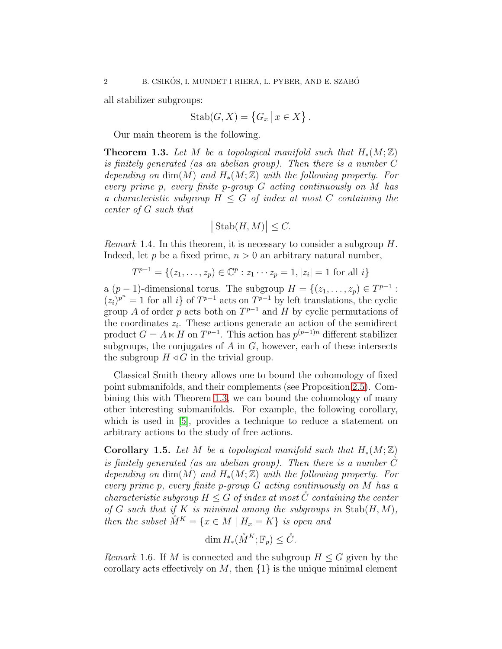all stabilizer subgroups:

$$
Stab(G, X) = \{G_x \mid x \in X\}.
$$

Our main theorem is the following.

<span id="page-1-0"></span>**Theorem 1.3.** Let M be a topological manifold such that  $H_*(M;\mathbb{Z})$ is finitely generated (as an abelian group). Then there is a number C depending on  $\dim(M)$  and  $H_*(M;\mathbb{Z})$  with the following property. For every prime p, every finite p-group G acting continuously on M has a characteristic subgroup  $H \leq G$  of index at most C containing the center of G such that

$$
\big|\operatorname{Stab}(H,M)\big|\leq C.
$$

*Remark* 1.4. In this theorem, it is necessary to consider a subgroup  $H$ . Indeed, let p be a fixed prime,  $n > 0$  an arbitrary natural number,

$$
T^{p-1} = \{(z_1, \ldots, z_p) \in \mathbb{C}^p : z_1 \cdots z_p = 1, |z_i| = 1 \text{ for all } i\}
$$

a  $(p-1)$ -dimensional torus. The subgroup  $H = \{(z_1, \ldots, z_p) \in T^{p-1} :$  $(z_i)^{p^n} = 1$  for all i} of  $T^{p-1}$  acts on  $T^{p-1}$  by left translations, the cyclic group A of order p acts both on  $T^{p-1}$  and H by cyclic permutations of the coordinates  $z_i$ . These actions generate an action of the semidirect product  $G = A \ltimes H$  on  $T^{p-1}$ . This action has  $p^{(p-1)n}$  different stabilizer subgroups, the conjugates of  $A$  in  $G$ , however, each of these intersects the subgroup  $H \triangleleft G$  in the trivial group.

Classical Smith theory allows one to bound the cohomology of fixed point submanifolds, and their complements (see Proposition [2.5\)](#page-4-0). Combining this with Theorem [1.3,](#page-1-0) we can bound the cohomology of many other interesting submanifolds. For example, the following corollary, which is used in [\[5\]](#page-23-0), provides a technique to reduce a statement on arbitrary actions to the study of free actions.

<span id="page-1-1"></span>Corollary 1.5. Let M be a topological manifold such that  $H_*(M;\mathbb{Z})$ is finitely generated (as an abelian group). Then there is a number  $\hat{C}$ depending on  $\dim(M)$  and  $H_*(M;\mathbb{Z})$  with the following property. For every prime p, every finite p-group G acting continuously on M has a characteristic subgroup  $H \leq G$  of index at most  $\check{C}$  containing the center of G such that if K is minimal among the subgroups in  $\text{Stab}(H, M)$ , then the subset  $\mathring{M}^K = \{x \in M \mid H_x = K\}$  is open and

$$
\dim H_*(\mathring{M}^K; \mathbb{F}_p) \leq \mathring{C}.
$$

*Remark* 1.6. If M is connected and the subgroup  $H \leq G$  given by the corollary acts effectively on M, then  $\{1\}$  is the unique minimal element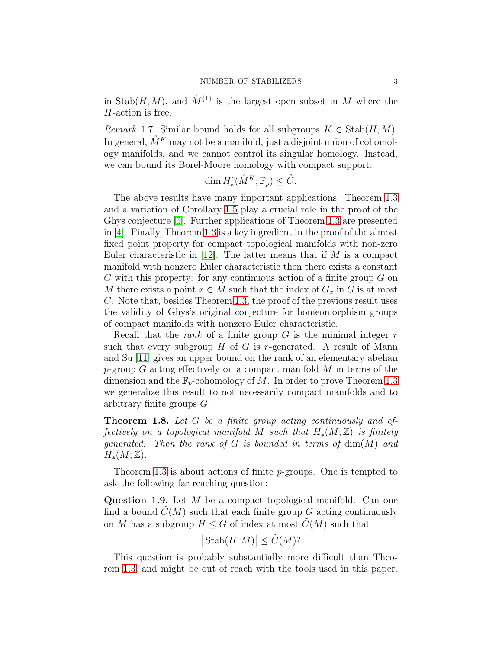in Stab $(H, M)$ , and  $\mathring{M}^{\{1\}}$  is the largest open subset in M where the H-action is free.

<span id="page-2-1"></span>*Remark* 1.7. Similar bound holds for all subgroups  $K \in \text{Stab}(H, M)$ . In general,  $\check{M}^K$  may not be a manifold, just a disjoint union of cohomology manifolds, and we cannot control its singular homology. Instead, we can bound its Borel-Moore homology with compact support:

$$
\dim H^c_*(\mathring{M}^K; \mathbb{F}_p) \leq \mathring{C}.
$$

The above results have many important applications. Theorem [1.3](#page-1-0) and a variation of Corollary [1.5](#page-1-1) play a crucial role in the proof of the Ghys conjecture [\[5\]](#page-23-0). Further applications of Theorem [1.3](#page-1-0) are presented in [\[4\]](#page-22-0). Finally, Theorem [1.3](#page-1-0) is a key ingredient in the proof of the almost fixed point property for compact topological manifolds with non-zero Euler characteristic in  $|12|$ . The latter means that if M is a compact manifold with nonzero Euler characteristic then there exists a constant C with this property: for any continuous action of a finite group  $G$  on M there exists a point  $x \in M$  such that the index of  $G_x$  in G is at most C. Note that, besides Theorem [1.3,](#page-1-0) the proof of the previous result uses the validity of Ghys's original conjecture for homeomorphism groups of compact manifolds with nonzero Euler characteristic.

Recall that the *rank* of a finite group  $G$  is the minimal integer  $r$ such that every subgroup  $H$  of  $G$  is r-generated. A result of Mann and Su [\[11\]](#page-23-3) gives an upper bound on the rank of an elementary abelian p-group  $G$  acting effectively on a compact manifold  $M$  in terms of the dimension and the  $\mathbb{F}_p$ -cohomology of M. In order to prove Theorem [1.3](#page-1-0) we generalize this result to not necessarily compact manifolds and to arbitrary finite groups G.

<span id="page-2-0"></span>Theorem 1.8. Let G be a finite group acting continuously and effectively on a topological manifold M such that  $H_*(M;\mathbb{Z})$  is finitely generated. Then the rank of G is bounded in terms of  $\dim(M)$  and  $H_*(M;\mathbb{Z})$ .

Theorem [1.3](#page-1-0) is about actions of finite p-groups. One is tempted to ask the following far reaching question:

Question 1.9. Let M be a compact topological manifold. Can one find a bound  $C(M)$  such that each finite group G acting continuously on M has a subgroup  $H \leq G$  of index at most  $\tilde{C}(M)$  such that

$$
|\operatorname{Stab}(H,M)| \le \tilde{C}(M)?
$$

This question is probably substantially more difficult than Theorem [1.3,](#page-1-0) and might be out of reach with the tools used in this paper.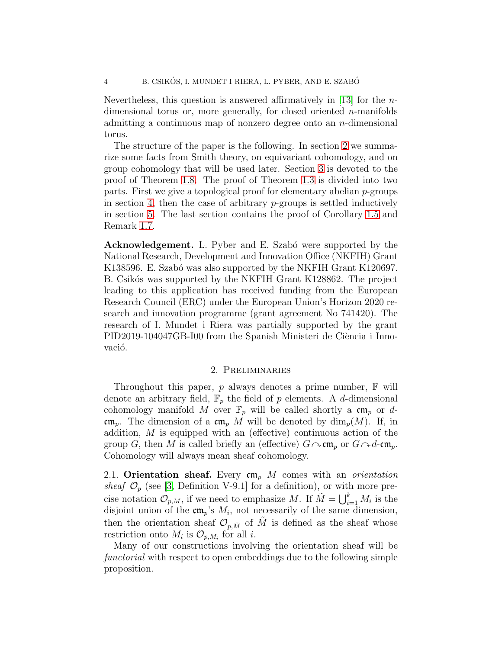Nevertheless, this question is answered affirmatively in [\[13\]](#page-23-4) for the  $n$ dimensional torus or, more generally, for closed oriented  $n$ -manifolds admitting a continuous map of nonzero degree onto an n-dimensional torus.

The structure of the paper is the following. In section [2](#page-3-0) we summarize some facts from Smith theory, on equivariant cohomology, and on group cohomology that will be used later. Section [3](#page-12-0) is devoted to the proof of Theorem [1.8.](#page-2-0) The proof of Theorem [1.3](#page-1-0) is divided into two parts. First we give a topological proof for elementary abelian p-groups in section [4,](#page-15-0) then the case of arbitrary  $p$ -groups is settled inductively in section [5.](#page-18-0) The last section contains the proof of Corollary [1.5](#page-1-1) and Remark [1.7.](#page-2-1)

Acknowledgement. L. Pyber and E. Szabó were supported by the National Research, Development and Innovation Office (NKFIH) Grant K138596. E. Szabó was also supported by the NKFIH Grant K120697. B. Csikós was supported by the NKFIH Grant K128862. The project leading to this application has received funding from the European Research Council (ERC) under the European Union's Horizon 2020 research and innovation programme (grant agreement No 741420). The research of I. Mundet i Riera was partially supported by the grant PID2019-104047GB-I00 from the Spanish Ministeri de Ciència i Innovació.

### 2. Preliminaries

<span id="page-3-0"></span>Throughout this paper,  $p$  always denotes a prime number,  $\mathbb F$  will denote an arbitrary field,  $\mathbb{F}_p$  the field of p elements. A d-dimensional cohomology manifold M over  $\mathbb{F}_p$  will be called shortly a  $\mathfrak{cm}_p$  or dcm<sub>p</sub>. The dimension of a cm<sub>p</sub> M will be denoted by  $\dim_p(M)$ . If, in addition, M is equipped with an (effective) continuous action of the group G, then M is called briefly an (effective)  $G \sim cm_p$  or  $G \sim d$ -cm<sub>p</sub>. Cohomology will always mean sheaf cohomology.

2.1. Orientation sheaf. Every  $\mathfrak{cm}_{p}$  M comes with an *orientation* sheaf  $\mathcal{O}_p$  (see [\[3,](#page-22-1) Definition V-9.1] for a definition), or with more precise notation  $\mathcal{O}_{p,M}$ , if we need to emphasize M. If  $\tilde{M} = \bigcup_{i=1}^{k} M_i$  is the disjoint union of the  $\mathfrak{cm}_p$ 's  $M_i$ , not necessarily of the same dimension, then the orientation sheaf  $\mathcal{O}_{p,\tilde{M}}$  of  $\tilde{M}$  is defined as the sheaf whose restriction onto  $M_i$  is  $\mathcal{O}_{p,M_i}$  for all *i*.

Many of our constructions involving the orientation sheaf will be functorial with respect to open embeddings due to the following simple proposition.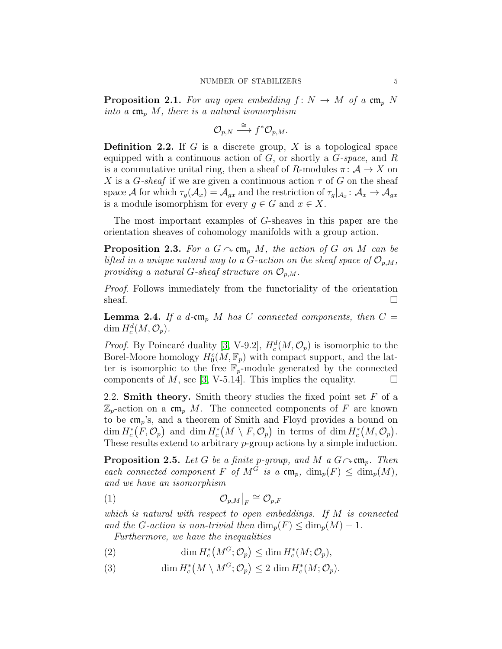**Proposition 2.1.** For any open embedding  $f: N \to M$  of a cm<sub>p</sub> N into a  $\mathfrak{cm}_p$  M, there is a natural isomorphism

$$
\mathcal{O}_{p,N}\stackrel{\cong}{\longrightarrow} f^*\mathcal{O}_{p,M}.
$$

**Definition 2.2.** If G is a discrete group, X is a topological space equipped with a continuous action of  $G$ , or shortly a  $G$ -space, and  $R$ is a commutative unital ring, then a sheaf of R-modules  $\pi: \mathcal{A} \to X$  on X is a G-sheaf if we are given a continuous action  $\tau$  of G on the sheaf space A for which  $\tau_g(\mathcal{A}_x)=\mathcal{A}_{gx}$  and the restriction of  $\tau_g|_{\mathcal{A}_x}:\mathcal{A}_x\to\mathcal{A}_{gx}$ is a module isomorphism for every  $g \in G$  and  $x \in X$ .

The most important examples of G-sheaves in this paper are the orientation sheaves of cohomology manifolds with a group action.

<span id="page-4-4"></span>**Proposition 2.3.** For a  $G \sim cm_p M$ , the action of G on M can be lifted in a unique natural way to a G-action on the sheaf space of  $\mathcal{O}_{p,M}$ , providing a natural G-sheaf structure on  $\mathcal{O}_{p,M}$ .

Proof. Follows immediately from the functoriality of the orientation sheaf.  $\Box$ 

<span id="page-4-5"></span>**Lemma 2.4.** If a d-cm<sub>p</sub> M has C connected components, then  $C =$  $\dim H_c^d(M, \mathcal{O}_p).$ 

*Proof.* By Poincaré duality [\[3,](#page-22-1) V-9.2],  $H_c^d(M, \mathcal{O}_p)$  is isomorphic to the Borel-Moore homology  $H_0^c(M, \mathbb{F}_p)$  with compact support, and the latter is isomorphic to the free  $\mathbb{F}_p$ -module generated by the connected components of M, see [\[3,](#page-22-1) V-5.14]. This implies the equality.  $\Box$ 

2.2. **Smith theory.** Smith theory studies the fixed point set  $F$  of a  $\mathbb{Z}_p$ -action on a cm<sub>p</sub> M. The connected components of F are known to be  $\mathfrak{cm}_p$ 's, and a theorem of Smith and Floyd provides a bound on  $\dim H_c^*(F, \mathcal{O}_p)$  and  $\dim H_c^*(M \setminus F, \mathcal{O}_p)$  in terms of  $\dim H_c^*(M, \mathcal{O}_p)$ . These results extend to arbitrary p-group actions by a simple induction.

<span id="page-4-0"></span>**Proposition 2.5.** Let G be a finite p-group, and M a  $G \sim cm_n$ . Then each connected component F of  $M^G$  is a  $\mathfrak{cm}_p$ ,  $\dim_p(F) \leq \dim_p(M)$ , and we have an isomorphism

<span id="page-4-2"></span>
$$
(1) \t\t \t\t \mathcal{O}_{p,M}|_F \cong \mathcal{O}_{p,F}
$$

which is natural with respect to open embeddings. If M is connected and the G-action is non-trivial then  $\dim_p(F) \leq \dim_p(M) - 1$ .

Furthermore, we have the inequalities

<span id="page-4-1"></span>(2) 
$$
\dim H_c^*\big(M^G;\mathcal{O}_p\big) \leq \dim H_c^*(M;\mathcal{O}_p),
$$

<span id="page-4-3"></span>(3)  $\dim H_c^*(M \setminus M^G; \mathcal{O}_p) \leq 2 \dim H_c^*(M; \mathcal{O}_p).$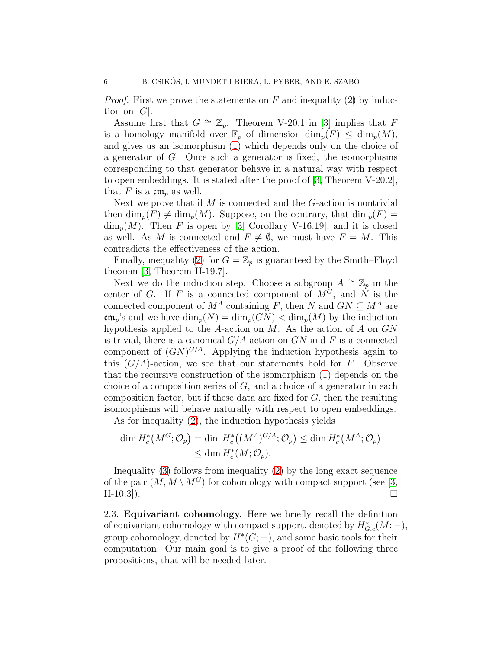*Proof.* First we prove the statements on F and inequality [\(2\)](#page-4-1) by induction on  $|G|$ .

Assume first that  $G \cong \mathbb{Z}_p$ . Theorem V-20.1 in [\[3\]](#page-22-1) implies that F is a homology manifold over  $\mathbb{F}_p$  of dimension  $\dim_p(F) \leq \dim_p(M)$ , and gives us an isomorphism [\(1\)](#page-4-2) which depends only on the choice of a generator of G. Once such a generator is fixed, the isomorphisms corresponding to that generator behave in a natural way with respect to open embeddings. It is stated after the proof of [\[3,](#page-22-1) Theorem V-20.2], that F is a  $\mathfrak{cm}_p$  as well.

Next we prove that if  $M$  is connected and the  $G$ -action is nontrivial then  $\dim_p(F) \neq \dim_p(M)$ . Suppose, on the contrary, that  $\dim_p(F)$  =  $\dim_n(M)$ . Then F is open by [\[3,](#page-22-1) Corollary V-16.19], and it is closed as well. As M is connected and  $F \neq \emptyset$ , we must have  $F = M$ . This contradicts the effectiveness of the action.

Finally, inequality [\(2\)](#page-4-1) for  $G = \mathbb{Z}_p$  is guaranteed by the Smith–Floyd theorem [\[3,](#page-22-1) Theorem II-19.7].

Next we do the induction step. Choose a subgroup  $A \cong \mathbb{Z}_p$  in the center of G. If F is a connected component of  $M^G$ , and  $\dot{N}$  is the connected component of  $M^A$  containing F, then N and  $GN \subseteq M^A$  are  $\operatorname{cm}_p$ 's and we have  $\dim_p(N) = \dim_p(GN) < \dim_p(M)$  by the induction hypothesis applied to the A-action on  $M$ . As the action of  $A$  on  $GN$ is trivial, there is a canonical  $G/A$  action on  $GN$  and F is a connected component of  $(GN)^{G/A}$ . Applying the induction hypothesis again to this  $(G/A)$ -action, we see that our statements hold for F. Observe that the recursive construction of the isomorphism [\(1\)](#page-4-2) depends on the choice of a composition series of  $G$ , and a choice of a generator in each composition factor, but if these data are fixed for  $G$ , then the resulting isomorphisms will behave naturally with respect to open embeddings.

As for inequality [\(2\)](#page-4-1), the induction hypothesis yields

$$
\dim H_c^*\big(M^G; \mathcal{O}_p\big) = \dim H_c^*\big((M^A)^{G/A}; \mathcal{O}_p\big) \le \dim H_c^*\big(M^A; \mathcal{O}_p\big) \le \dim H_c^*(M; \mathcal{O}_p).
$$

Inequality [\(3\)](#page-4-3) follows from inequality [\(2\)](#page-4-1) by the long exact sequence of the pair  $(M, M \setminus M^G)$  for cohomology with compact support (see [\[3,](#page-22-1) II-10.3]).

2.3. Equivariant cohomology. Here we briefly recall the definition of equivariant cohomology with compact support, denoted by  $H^*_{G,c}(M; -)$ , group cohomology, denoted by  $H^*(G; -)$ , and some basic tools for their computation. Our main goal is to give a proof of the following three propositions, that will be needed later.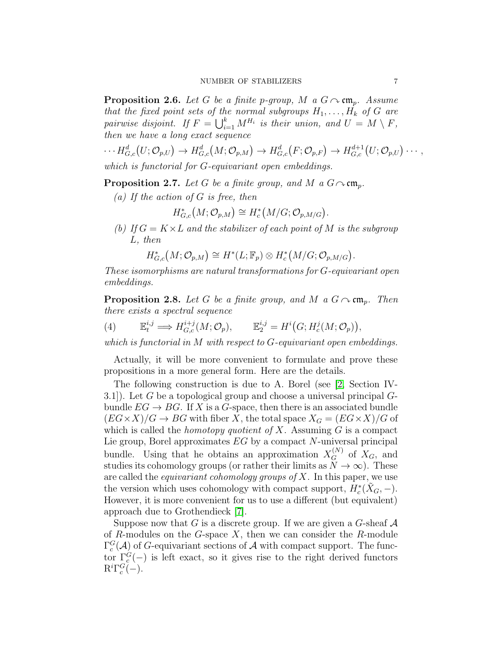<span id="page-6-0"></span>**Proposition 2.6.** Let G be a finite p-group, M a  $G \sim cm_p$ . Assume that the fixed point sets of the normal subgroups  $H_1, \ldots, H_k$  of G are pairwise disjoint. If  $F = \bigcup_{i=1}^k M^{H_i}$  is their union, and  $U = M \setminus F$ , then we have a long exact sequence

 $\cdots H^d_{G,c}(U; \mathcal{O}_{p,U}) \to H^d_{G,c}(M; \mathcal{O}_{p,M}) \to H^d_{G,c}(F; \mathcal{O}_{p,F}) \to H^{d+1}_{G,c}(U; \mathcal{O}_{p,U}) \cdots,$ which is functorial for G-equivariant open embeddings.

<span id="page-6-3"></span><span id="page-6-1"></span>**Proposition 2.7.** Let G be a finite group, and M a  $G \sim cm_n$ .

(a) If the action of  $G$  is free, then

 $H^*_{G,c}(M; \mathcal{O}_{p,M}) \cong H^*_c(M/G; \mathcal{O}_{p,M/G}).$ 

<span id="page-6-4"></span>(b) If  $G = K \times L$  and the stabilizer of each point of M is the subgroup L, then

$$
H^*_{G,c}(M; \mathcal{O}_{p,M}) \cong H^*(L; \mathbb{F}_p) \otimes H^*_c(M/G; \mathcal{O}_{p,M/G}).
$$

These isomorphisms are natural transformations for G-equivariant open embeddings.

<span id="page-6-2"></span>**Proposition 2.8.** Let G be a finite group, and M a  $G \sim cm_p$ . Then there exists a spectral sequence

(4) 
$$
\mathbb{E}_t^{i,j} \Longrightarrow H_{G,c}^{i+j}(M; \mathcal{O}_p), \qquad \mathbb{E}_2^{i,j} = H^i\big(G; H_c^j(M; \mathcal{O}_p)\big),
$$

which is functorial in M with respect to G-equivariant open embeddings.

Actually, it will be more convenient to formulate and prove these propositions in a more general form. Here are the details.

The following construction is due to A. Borel (see [\[2,](#page-22-2) Section IV-3.1). Let G be a topological group and choose a universal principal  $G$ bundle  $EG \to BG$ . If X is a G-space, then there is an associated bundle  $(EG \times X)/G \to BG$  with fiber X, the total space  $X_G = (EG \times X)/G$  of which is called the *homotopy quotient of X*. Assuming  $G$  is a compact Lie group, Borel approximates EG by a compact N-universal principal bundle. Using that he obtains an approximation  $X_G^{(N)}$  of  $X_G$ , and studies its cohomology groups (or rather their limits as  $N \to \infty$ ). These are called the *equivariant cohomology groups of*  $X$ . In this paper, we use the version which uses cohomology with compact support,  $H_c^*(\tilde{X}_G, -)$ . However, it is more convenient for us to use a different (but equivalent) approach due to Grothendieck [\[7\]](#page-23-5).

Suppose now that G is a discrete group. If we are given a G-sheaf  $A$ of R-modules on the G-space  $X$ , then we can consider the R-module  $\Gamma_c^G(\mathcal{A})$  of G-equivariant sections of  $\mathcal A$  with compact support. The functor  $\Gamma_c^G(-)$  is left exact, so it gives rise to the right derived functors  $R^i \Gamma_c^G(-)$ .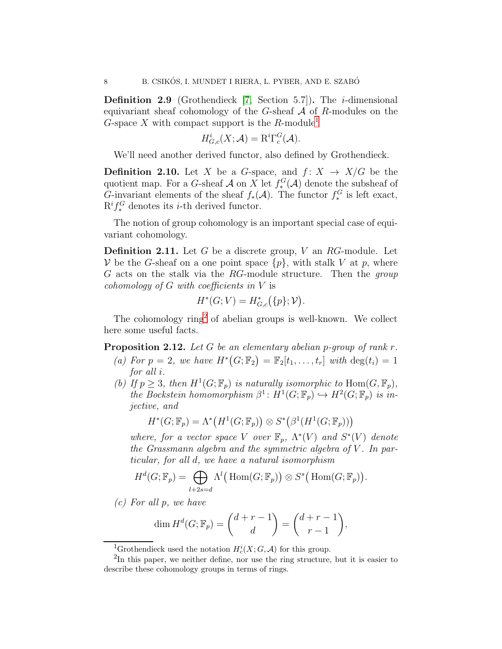**Definition 2.9** (Grothendieck  $[7, \text{ Section } 5.7]$ ). The *i*-dimensional equivariant sheaf cohomology of the G-sheaf  $A$  of R-modules on the G-space X with compact support is the R-module<sup>[1](#page-7-0)</sup>

$$
H^i_{G,c}(X; \mathcal{A}) = \mathrm{R}^i \Gamma^G_c(\mathcal{A}).
$$

We'll need another derived functor, also defined by Grothendieck.

**Definition 2.10.** Let X be a G-space, and  $f: X \rightarrow X/G$  be the quotient map. For a G-sheaf  $\mathcal A$  on X let  $f_*^G(\mathcal A)$  denote the subsheaf of G-invariant elements of the sheaf  $f_*(\mathcal{A})$ . The functor  $f_*^G$  is left exact,  $\mathrm{R}^i f^G_*$  denotes its *i*-th derived functor.

The notion of group cohomology is an important special case of equivariant cohomology.

**Definition 2.11.** Let G be a discrete group, V an  $RG$ -module. Let V be the G-sheaf on a one point space  $\{p\}$ , with stalk V at p, where G acts on the stalk via the RG-module structure. Then the group cohomology of G with coefficients in V is

$$
H^*(G; V) = H^*_{G,c}(\{p\}; V).
$$

The cohomology ring<sup>[2](#page-7-1)</sup> of abelian groups is well-known. We collect here some useful facts.

<span id="page-7-2"></span>**Proposition 2.12.** Let G be an elementary abelian p-group of rank  $r$ .

- (a) For  $p = 2$ , we have  $H^*(G; \mathbb{F}_2) = \mathbb{F}_2[t_1, \ldots, t_r]$  with  $\deg(t_i) = 1$ for all i.
- (b) If  $p \geq 3$ , then  $H^1(G; \mathbb{F}_p)$  is naturally isomorphic to  $\text{Hom}(G, \mathbb{F}_p)$ , the Bockstein homomorphism  $\beta^1$ :  $H^1(G; \mathbb{F}_p) \hookrightarrow H^2(G; \mathbb{F}_p)$  is injective, and

$$
H^*(G; \mathbb{F}_p) = \Lambda^*\big(H^1(G; \mathbb{F}_p)\big) \otimes S^*\big(\beta^1(H^1(G; \mathbb{F}_p))\big)
$$

where, for a vector space V over  $\mathbb{F}_p$ ,  $\Lambda^*(V)$  and  $S^*(V)$  denote the Grassmann algebra and the symmetric algebra of  $V$ . In particular, for all d, we have a natural isomorphism

$$
H^{d}(G; \mathbb{F}_{p}) = \bigoplus_{l+2s=d} \Lambda^{l}(\text{Hom}(G; \mathbb{F}_{p})) \otimes S^{s}(\text{Hom}(G; \mathbb{F}_{p})).
$$

<span id="page-7-3"></span>(c) For all p, we have

$$
\dim H^d(G; \mathbb{F}_p) = \binom{d+r-1}{d} = \binom{d+r-1}{r-1},
$$

<span id="page-7-0"></span><sup>1</sup>Grothendieck used the notation  $H_c^i(X; G, \mathcal{A})$  for this group.

<span id="page-7-1"></span><sup>&</sup>lt;sup>2</sup>In this paper, we neither define, nor use the ring structure, but it is easier to describe these cohomology groups in terms of rings.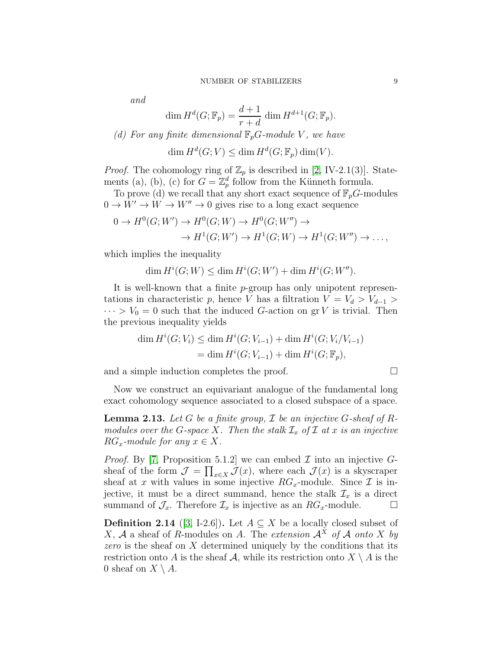and

$$
\dim H^d(G; \mathbb{F}_p) = \frac{d+1}{r+d} \dim H^{d+1}(G; \mathbb{F}_p).
$$

<span id="page-8-1"></span>(d) For any finite dimensional 
$$
\mathbb{F}_pG
$$
-module  $V$ , we have

$$
\dim H^d(G;V) \le \dim H^d(G; \mathbb{F}_p) \dim(V).
$$

*Proof.* The cohomology ring of  $\mathbb{Z}_p$  is described in [\[2,](#page-22-2) IV-2.1(3)]. Statements (a), (b), (c) for  $G = \mathbb{Z}_p^d$  follow from the Künneth formula.

To prove (d) we recall that any short exact sequence of  $\mathbb{F}_p$ G-modules  $0 \to W' \to W \to W'' \to 0$  gives rise to a long exact sequence

$$
0 \to H^0(G;W') \to H^0(G;W) \to H^0(G;W'') \to
$$
  

$$
\to H^1(G;W') \to H^1(G;W) \to H^1(G;W'') \to \dots,
$$

which implies the inequality

$$
\dim H^i(G;W) \le \dim H^i(G;W') + \dim H^i(G;W'').
$$

It is well-known that a finite p-group has only unipotent representations in characteristic p, hence V has a filtration  $V = V_d > V_{d-1} >$  $\cdots > V_0 = 0$  such that the induced G-action on grV is trivial. Then the previous inequality yields

$$
\dim H^i(G; V_i) \le \dim H^i(G; V_{i-1}) + \dim H^i(G; V_i/V_{i-1})
$$
  
= 
$$
\dim H^i(G; V_{i-1}) + \dim H^i(G; \mathbb{F}_p),
$$

and a simple induction completes the proof.

Now we construct an equivariant analogue of the fundamental long exact cohomology sequence associated to a closed subspace of a space.

<span id="page-8-0"></span>**Lemma 2.13.** Let G be a finite group,  $\mathcal I$  be an injective G-sheaf of Rmodules over the G-space X. Then the stalk  $\mathcal{I}_x$  of  $\mathcal I$  at x is an injective  $RG_x$ -module for any  $x \in X$ .

*Proof.* By [\[7,](#page-23-5) Proposition 5.1.2] we can embed  $\mathcal I$  into an injective  $G$ sheaf of the form  $\mathcal{J} = \prod_{x \in X} \mathcal{J}(x)$ , where each  $\mathcal{J}(x)$  is a skyscraper sheaf at x with values in some injective  $RG_x$ -module. Since  $\mathcal I$  is injective, it must be a direct summand, hence the stalk  $\mathcal{I}_x$  is a direct summand of  $\mathcal{J}_x$ . Therefore  $\mathcal{I}_x$  is injective as an  $RG_x$ -module.  $\Box$ 

**Definition 2.14** ([\[3,](#page-22-1) I-2.6]). Let  $A \subseteq X$  be a locally closed subset of X, A a sheaf of R-modules on A. The extension  $A^X$  of A onto X by zero is the sheaf on  $X$  determined uniquely by the conditions that its restriction onto A is the sheaf A, while its restriction onto  $X \setminus A$  is the 0 sheaf on  $X \setminus A$ .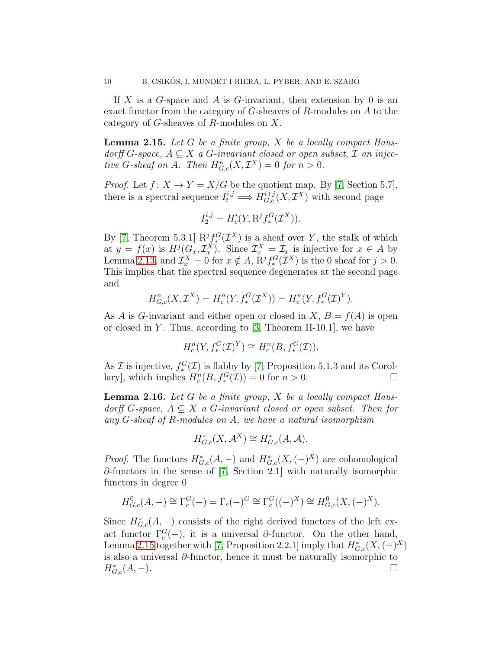If X is a G-space and A is G-invariant, then extension by 0 is an exact functor from the category of  $G$ -sheaves of  $R$ -modules on  $A$  to the category of G-sheaves of R-modules on X.

<span id="page-9-0"></span>**Lemma 2.15.** Let  $G$  be a finite group,  $X$  be a locally compact Hausdorff G-space,  $A \subseteq X$  a G-invariant closed or open subset,  $\mathcal I$  an injective G-sheaf on A. Then  $H_{G,c}^n(X, \mathcal{I}^X) = 0$  for  $n > 0$ .

*Proof.* Let  $f: X \to Y = X/G$  be the quotient map. By [\[7,](#page-23-5) Section 5.7], there is a spectral sequence  $I_t^{i,j} \Longrightarrow H_{G,c}^{i+j}(X, \mathcal{I}^X)$  with second page

$$
I_2^{i,j} = H_c^i(Y, \mathbf{R}^j f_*^G(\mathcal{I}^X)).
$$

By [\[7,](#page-23-5) Theorem 5.3.1]  $\mathbb{R}^j \mathcal{F}^G(\mathcal{I}^X)$  is a sheaf over Y, the stalk of which at  $y = f(x)$  is  $H^j(G_x, \mathcal{I}_x^X)$ . Since  $\mathcal{I}_x^X = \mathcal{I}_x$  is injective for  $x \in A$  by Lemma [2.13,](#page-8-0) and  $\mathcal{I}_x^X = 0$  for  $x \notin A$ ,  $\mathbb{R}^j f_*^G(\mathcal{I}^X)$  is the 0 sheaf for  $j > 0$ . This implies that the spectral sequence degenerates at the second page and

$$
H_{G,c}^{n}(X, \mathcal{I}^{X}) = H_{c}^{n}(Y, f_{*}^{G}(\mathcal{I}^{X})) = H_{c}^{n}(Y, f_{*}^{G}(\mathcal{I})^{Y}).
$$

As A is G-invariant and either open or closed in X,  $B = f(A)$  is open or closed in Y. Thus, according to  $[3,$  Theorem II-10.1, we have

$$
H_c^n(Y, f_*^G(\mathcal{I})^Y) \cong H_c^n(B, f_*^G(\mathcal{I})).
$$

As  $\mathcal I$  is injective,  $f_*^G(\mathcal I)$  is flabby by [\[7,](#page-23-5) Proposition 5.1.3 and its Corollary], which implies  $H_c^n(B, f_*^G(\mathcal{I})) = 0$  for  $n > 0$ .

<span id="page-9-1"></span>**Lemma 2.16.** Let  $G$  be a finite group,  $X$  be a locally compact Hausdorff G-space,  $A \subseteq X$  a G-invariant closed or open subset. Then for any G-sheaf of R-modules on A, we have a natural isomorphism

$$
H^*_{G,c}(X, \mathcal{A}^X) \cong H^*_{G,c}(A, \mathcal{A}).
$$

*Proof.* The functors  $H^*_{G,c}(A, -)$  and  $H^*_{G,c}(X, (-)^X)$  are cohomological ∂-functors in the sense of [\[7,](#page-23-5) Section 2.1] with naturally isomorphic functors in degree 0

$$
H_{G,c}^{0}(A, -) \cong \Gamma_{c}^{G}(-) = \Gamma_{c}(-)^{G} \cong \Gamma_{c}^{G}((-)^{X}) \cong H_{G,c}^{0}(X, (-)^{X}).
$$

Since  $H^*_{G,c}(A, -)$  consists of the right derived functors of the left exact functor  $\Gamma_c^G(-)$ , it is a universal  $\partial$ -functor. On the other hand, Lemma [2.15](#page-9-0) together with [\[7,](#page-23-5) Proposition 2.2.1] imply that  $H^*_{G,c}(X, (-)^X)$ is also a universal ∂-functor, hence it must be naturally isomorphic to  $H^*_{G,c}(A,-).$  ${}^{*}_{G,c}(A, -).$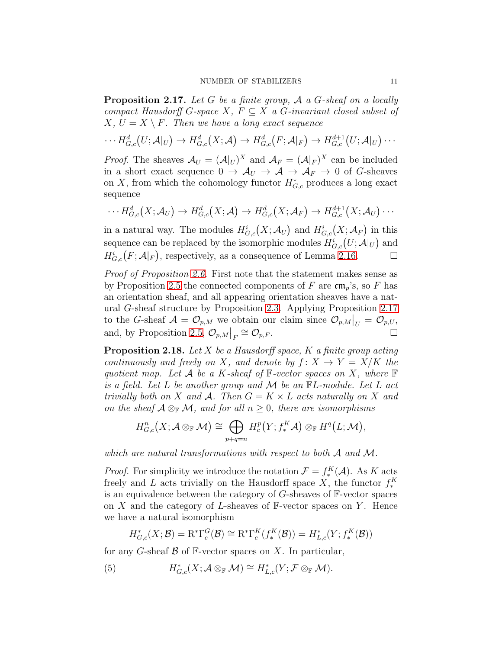<span id="page-10-0"></span>**Proposition 2.17.** Let G be a finite group,  $\mathcal A$  a G-sheaf on a locally compact Hausdorff G-space X,  $F \subseteq X$  a G-invariant closed subset of  $X, U = X \setminus F$ . Then we have a long exact sequence

$$
\cdots H_{G,c}^d(U;\mathcal{A}|_U) \to H_{G,c}^d(X;\mathcal{A}) \to H_{G,c}^d(F;\mathcal{A}|_F) \to H_{G,c}^{d+1}(U;\mathcal{A}|_U) \cdots
$$

*Proof.* The sheaves  $\mathcal{A}_U = (\mathcal{A}|_U)^X$  and  $\mathcal{A}_F = (\mathcal{A}|_F)^X$  can be included in a short exact sequence  $0 \to \mathcal{A}_U \to \mathcal{A} \to \mathcal{A}_F \to 0$  of G-sheaves on X, from which the cohomology functor  $H^*_{G,c}$  produces a long exact sequence

$$
\cdots H_{G,c}^d(X; \mathcal{A}_U) \to H_{G,c}^d(X; \mathcal{A}) \to H_{G,c}^d(X; \mathcal{A}_F) \to H_{G,c}^{d+1}(X; \mathcal{A}_U) \cdots
$$

in a natural way. The modules  $H^i_{G,c}(X; \mathcal{A}_U)$  and  $H^i_{G,c}(X; \mathcal{A}_F)$  in this sequence can be replaced by the isomorphic modules  $H^i_{G,c}(U; \mathcal{A}|_U)$  and  $H^i_{G,c}(F; \mathcal{A}|_F)$ , respectively, as a consequence of Lemma [2.16.](#page-9-1)

Proof of Proposition [2.6.](#page-6-0) First note that the statement makes sense as by Proposition [2.5](#page-4-0) the connected components of F are  $\mathfrak{cm}_p$ 's, so F has an orientation sheaf, and all appearing orientation sheaves have a natural G-sheaf structure by Proposition [2.3.](#page-4-4) Applying Proposition [2.17](#page-10-0) to the G-sheaf  $\mathcal{A} = \mathcal{O}_{p,M}$  we obtain our claim since  $\mathcal{O}_{p,M}|_U = \mathcal{O}_{p,U}$ and, by Proposition [2.5,](#page-4-0)  $\mathcal{O}_{p,M}|_F \cong \mathcal{O}_{p,F}$ .

**Proposition 2.18.** Let  $X$  be a Hausdorff space,  $K$  a finite group acting continuously and freely on X, and denote by  $f: X \to Y = X/K$  the quotient map. Let A be a K-sheaf of  $\mathbb{F}\text{-vector spaces on }X$ , where  $\mathbb{F}$ is a field. Let L be another group and M be an FL-module. Let L act trivially both on X and A. Then  $G = K \times L$  acts naturally on X and on the sheaf  $A \otimes_{\mathbb{F}} M$ , and for all  $n \geq 0$ , there are isomorphisms

$$
H_{G,c}^n(X; \mathcal{A} \otimes_{\mathbb{F}} \mathcal{M}) \cong \bigoplus_{p+q=n} H_c^p(Y; f_*^K \mathcal{A}) \otimes_{\mathbb{F}} H^q(L; \mathcal{M}),
$$

which are natural transformations with respect to both A and M.

*Proof.* For simplicity we introduce the notation  $\mathcal{F} = f_*^K(\mathcal{A})$ . As K acts freely and L acts trivially on the Hausdorff space X, the functor  $f_*^K$ is an equivalence between the category of  $G$ -sheaves of  $\mathbb{F}\text{-vector spaces}$ on X and the category of L-sheaves of  $\mathbb{F}\text{-vector spaces}$  on Y. Hence we have a natural isomorphism

<span id="page-10-1"></span>
$$
H^*_{G,c}(X;\mathcal{B}) = \mathrm{R}^*\Gamma^G_c(\mathcal{B}) \cong \mathrm{R}^*\Gamma^K_c(f^K_*(\mathcal{B})) = H^*_{L,c}(Y; f^K_*(\mathcal{B}))
$$

for any G-sheaf  $\beta$  of F-vector spaces on X. In particular,

(5) 
$$
H^*_{G,c}(X; \mathcal{A} \otimes_{\mathbb{F}} \mathcal{M}) \cong H^*_{L,c}(Y; \mathcal{F} \otimes_{\mathbb{F}} \mathcal{M}).
$$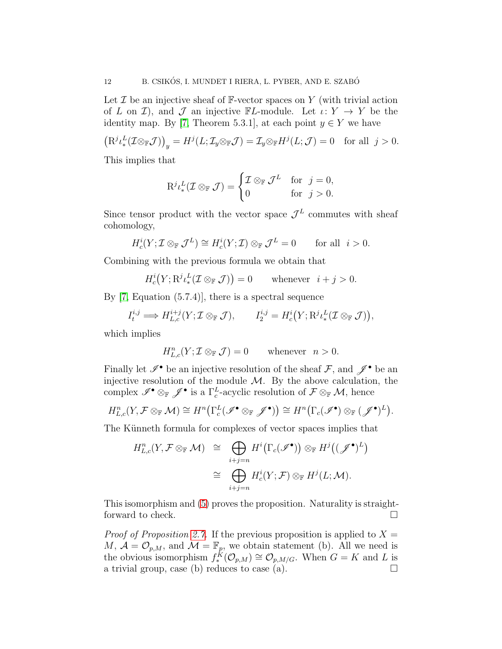Let  $\mathcal I$  be an injective sheaf of  $\mathbb F$ -vector spaces on  $Y$  (with trivial action of L on I), and J an injective  $\mathbb{F}L$ -module. Let  $\iota: Y \to Y$  be the identity map. By [\[7,](#page-23-5) Theorem 5.3.1], at each point  $y \in Y$  we have

 $(\mathrm{R}^{j}\iota^L_*(\mathcal{I}\otimes_{\mathbb{F}}\mathcal{J}))_y = H^{j}(L;\mathcal{I}_y\otimes_{\mathbb{F}}\mathcal{J}) = \mathcal{I}_y\otimes_{\mathbb{F}}H^{j}(L;\mathcal{J}) = 0 \text{ for all } j > 0.$ 

This implies that

$$
\mathrm{R}^{j} \iota^L_*(\mathcal{I} \otimes_{\mathbb{F}} \mathcal{J}) = \begin{cases} \mathcal{I} \otimes_{\mathbb{F}} \mathcal{J}^L & \text{for } j = 0, \\ 0 & \text{for } j > 0. \end{cases}
$$

Since tensor product with the vector space  $\mathcal{J}^L$  commutes with sheaf cohomology,

$$
H_c^i(Y; \mathcal{I} \otimes_{\mathbb{F}} \mathcal{J}^L) \cong H_c^i(Y; \mathcal{I}) \otimes_{\mathbb{F}} \mathcal{J}^L = 0 \quad \text{for all } i > 0.
$$

Combining with the previous formula we obtain that

$$
H_c^i(Y; \mathrm{R}^j \iota^L_*(\mathcal{I} \otimes_{\mathbb{F}} \mathcal{J})) = 0 \quad \text{whenever} \quad i + j > 0.
$$

By [\[7,](#page-23-5) Equation (5.7.4)], there is a spectral sequence

$$
I_t^{i,j} \Longrightarrow H_{L,c}^{i+j}(Y; \mathcal{I} \otimes_{\mathbb{F}} \mathcal{J}), \qquad I_2^{i,j} = H_c^i(Y; \mathrm{R}^j \iota^L_*(\mathcal{I} \otimes_{\mathbb{F}} \mathcal{J})),
$$

which implies

$$
H_{L,c}^n(Y; \mathcal{I} \otimes_{\mathbb{F}} \mathcal{J}) = 0 \quad \text{whenever} \quad n > 0.
$$

Finally let  $\mathscr{I}^{\bullet}$  be an injective resolution of the sheaf  $\mathcal{F}$ , and  $\mathscr{J}^{\bullet}$  be an injective resolution of the module  $M$ . By the above calculation, the complex  $\mathscr{I}^{\bullet} \otimes_{\mathbb{F}} \mathscr{J}^{\bullet}$  is a  $\Gamma_c^L$ -acyclic resolution of  $\mathcal{F} \otimes_{\mathbb{F}} \mathcal{M}$ , hence

$$
H_{L,c}^n(Y,\mathcal{F}\otimes_{\mathbb{F}}\mathcal{M})\cong H^n\big(\Gamma_c^L(\mathscr{I}^\bullet\otimes_{\mathbb{F}}\mathscr{J}^\bullet)\big)\cong H^n\big(\Gamma_c(\mathscr{I}^\bullet)\otimes_{\mathbb{F}}(\mathscr{J}^\bullet)^L\big).
$$

The Künneth formula for complexes of vector spaces implies that

$$
H_{L,c}^n(Y, \mathcal{F} \otimes_{\mathbb{F}} \mathcal{M}) \cong \bigoplus_{i+j=n} H^i(\Gamma_c(\mathscr{I}^{\bullet})) \otimes_{\mathbb{F}} H^j((\mathscr{J}^{\bullet})^L)
$$
  

$$
\cong \bigoplus_{i+j=n} H^i_c(Y; \mathcal{F}) \otimes_{\mathbb{F}} H^j(L; \mathcal{M}).
$$

This isomorphism and [\(5\)](#page-10-1) proves the proposition. Naturality is straightforward to check.

*Proof of Proposition [2.7.](#page-6-1)* If the previous proposition is applied to  $X =$ M,  $\mathcal{A} = \mathcal{O}_{p,M}$ , and  $\mathcal{M} = \mathbb{F}_p$ , we obtain statement (b). All we need is the obvious isomorphism  $f_*^K(\mathcal{O}_{p,M}) \cong \mathcal{O}_{p,M/G}$ . When  $G = K$  and L is a trivial group, case (b) reduces to case (a).  $\Box$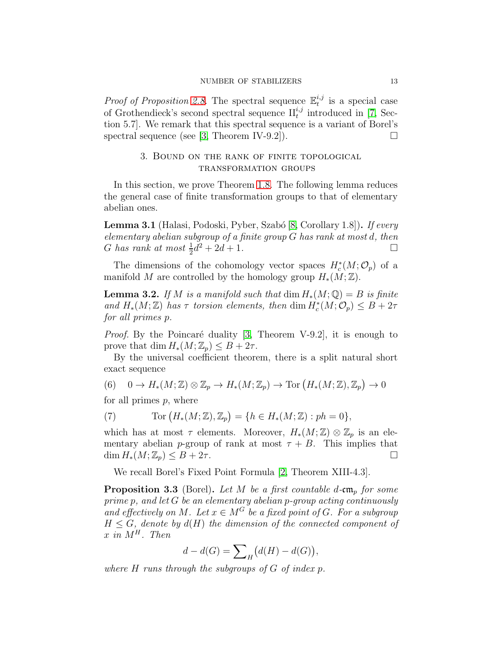*Proof of Proposition [2.8.](#page-6-2)* The spectral sequence  $\mathbb{E}_t^{i,j}$  $t^{i,j}$  is a special case of Grothendieck's second spectral sequence  $\prod_{i}^{i,j}$  introduced in [\[7,](#page-23-5) Section 5.7]. We remark that this spectral sequence is a variant of Borel's spectral sequence (see [\[3,](#page-22-1) Theorem IV-9.2]).

# <span id="page-12-0"></span>3. Bound on the rank of finite topological transformation groups

In this section, we prove Theorem [1.8.](#page-2-0) The following lemma reduces the general case of finite transformation groups to that of elementary abelian ones.

<span id="page-12-2"></span>Lemma 3.1 (Halasi, Podoski, Pyber, Szabó [\[8,](#page-23-6) Corollary 1.8]). If every elementary abelian subgroup of a finite group G has rank at most d, then G has rank at most  $\frac{1}{2}d^2 + 2d + 1$ .

The dimensions of the cohomology vector spaces  $H_c^*(M; \mathcal{O}_p)$  of a manifold M are controlled by the homology group  $H_*(M;\mathbb{Z})$ .

<span id="page-12-3"></span>**Lemma 3.2.** If M is a manifold such that  $\dim H_*(M; \mathbb{Q}) = B$  is finite and  $H_*(M;\mathbb{Z})$  has  $\tau$  torsion elements, then  $\dim H_c^*(M;\mathcal{O}_p) \leq B + 2\tau$ for all primes p.

*Proof.* By the Poincaré duality [\[3,](#page-22-1) Theorem V-9.2], it is enough to prove that dim  $H_*(M; \mathbb{Z}_p) \leq B + 2\tau$ .

By the universal coefficient theorem, there is a split natural short exact sequence

 $(6)$  0  $\rightarrow$   $H_*(M;\mathbb{Z}) \otimes \mathbb{Z}_p \rightarrow H_*(M;\mathbb{Z}_p) \rightarrow \text{Tor}(H_*(M;\mathbb{Z}),\mathbb{Z}_p) \rightarrow 0$ 

for all primes  $p$ , where

(7) 
$$
\text{Tor}\left(H_*(M;\mathbb{Z}),\mathbb{Z}_p\right) = \{h \in H_*(M;\mathbb{Z}) : ph = 0\},
$$

which has at most  $\tau$  elements. Moreover,  $H_*(M;\mathbb{Z})\otimes \mathbb{Z}_p$  is an elementary abelian *p*-group of rank at most  $\tau + B$ . This implies that  $\dim H_*(M;\mathbb{Z}_p) \leq B + 2\tau.$ 

We recall Borel's Fixed Point Formula [\[2,](#page-22-2) Theorem XIII-4.3].

<span id="page-12-1"></span>**Proposition 3.3** (Borel). Let M be a first countable d-cm<sub>p</sub> for some prime p, and let G be an elementary abelian p-group acting continuously and effectively on M. Let  $x \in M^G$  be a fixed point of G. For a subgroup  $H \leq G$ , denote by  $d(H)$  the dimension of the connected component of  $x$  in  $M^H$ . Then

$$
d - d(G) = \sum_{H} \bigl( d(H) - d(G) \bigr),
$$

where  $H$  runs through the subgroups of  $G$  of index p.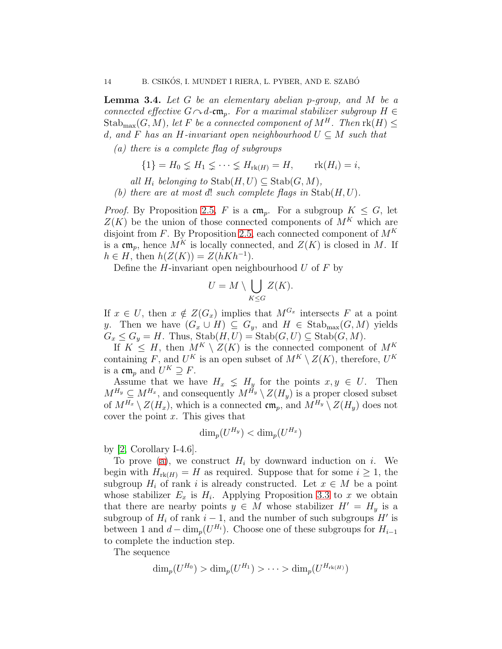<span id="page-13-1"></span>**Lemma 3.4.** Let  $G$  be an elementary abelian p-group, and  $M$  be a connected effective  $G \sim d$ -cm<sub>p</sub>. For a maximal stabilizer subgroup  $H \in$  $\operatorname{Stab}_{\max}(G, M)$ , let F be a connected component of  $M^H$ . Then  $\operatorname{rk}(H) \leq$ d, and F has an H-invariant open neighbourhood  $U \subseteq M$  such that

<span id="page-13-0"></span>(a) there is a complete flag of subgroups

$$
\{1\} = H_0 \subsetneq H_1 \subsetneq \cdots \subsetneq H_{\text{rk}(H)} = H, \qquad \text{rk}(H_i) = i,
$$

all  $H_i$  belonging to  $\text{Stab}(H, U) \subseteq \text{Stab}(G, M)$ ,

(b) there are at most d! such complete flags in  $\text{Stab}(H, U)$ .

*Proof.* By Proposition [2.5,](#page-4-0) F is a  $\mathfrak{cm}_p$ . For a subgroup  $K \leq G$ , let  $Z(K)$  be the union of those connected components of  $M^K$  which are disjoint from F. By Proposition [2.5,](#page-4-0) each connected component of  $M^K$ is a  $\mathfrak{cm}_p$ , hence  $M^K$  is locally connected, and  $Z(K)$  is closed in M. If  $h \in H$ , then  $h(Z(K)) = Z(hKh^{-1}).$ 

Define the *H*-invariant open neighbourhood U of F by

$$
U = M \setminus \bigcup_{K \leq G} Z(K).
$$

If  $x \in U$ , then  $x \notin Z(G_x)$  implies that  $M^{G_x}$  intersects F at a point y. Then we have  $(G_x \cup H) \subseteq G_y$ , and  $H \in \text{Stab}_{\text{max}}(G, M)$  yields  $G_x \leq G_y = H$ . Thus,  $\text{Stab}(H, U) = \text{Stab}(G, U) \subseteq \text{Stab}(G, M)$ .

If  $K \leq H$ , then  $M^K \setminus Z(K)$  is the connected component of  $M^K$ containing F, and  $U^K$  is an open subset of  $M^K \setminus Z(K)$ , therefore,  $U^K$ is a  $\mathfrak{cm}_p$  and  $U^K \supseteq F$ .

Assume that we have  $H_x \leq H_y$  for the points  $x, y \in U$ . Then  $M^{H_y} \subseteq M^{H_x}$ , and consequently  $M^{H_y} \setminus Z(H_y)$  is a proper closed subset of  $M^{H_x} \setminus Z(H_x)$ , which is a connected  $\mathfrak{cm}_p$ , and  $M^{H_y} \setminus Z(H_y)$  does not cover the point  $x$ . This gives that

$$
\dim_p(U^{H_y}) < \dim_p(U^{H_x})
$$

by [\[2,](#page-22-2) Corollary I-4.6].

To prove [\(a\)](#page-13-0), we construct  $H_i$  by downward induction on i. We begin with  $H_{\text{rk}(H)} = H$  as required. Suppose that for some  $i \geq 1$ , the subgroup  $H_i$  of rank i is already constructed. Let  $x \in M$  be a point whose stabilizer  $E_x$  is  $H_i$ . Applying Proposition [3.3](#page-12-1) to x we obtain that there are nearby points  $y \in M$  whose stabilizer  $H' = H_y$  is a subgroup of  $H_i$  of rank  $i-1$ , and the number of such subgroups  $H'$  is between 1 and  $d - \dim_p(U^{H_i})$ . Choose one of these subgroups for  $H_{i-1}$ to complete the induction step.

The sequence

$$
\dim_p(U^{H_0}) > \dim_p(U^{H_1}) > \cdots > \dim_p(U^{H_{\text{rk}(H)}})
$$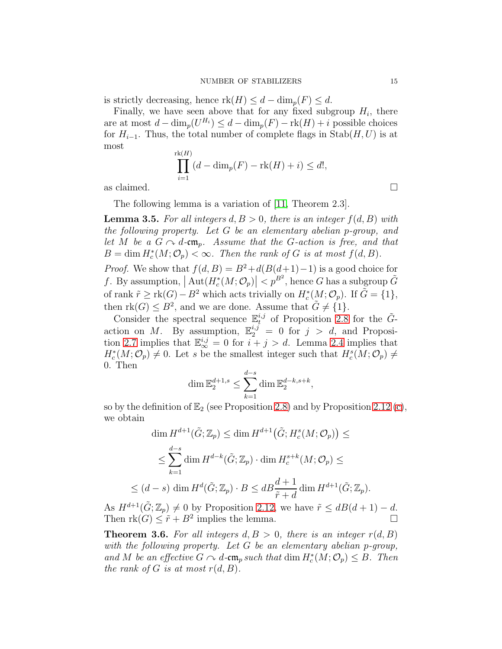is strictly decreasing, hence  $\text{rk}(H) \leq d - \dim_p(F) \leq d$ .

Finally, we have seen above that for any fixed subgroup  $H_i$ , there are at most  $d - \dim_p(U^{H_i}) \leq d - \dim_p(F) - \text{rk}(H) + i$  possible choices for  $H_{i-1}$ . Thus, the total number of complete flags in Stab $(H, U)$  is at most r

$$
\prod_{i=1}^{\text{rk}(H)} (d - \dim_p(F) - \text{rk}(H) + i) \le d!,
$$
 as claimed.  $\square$ 

 $\leq$ 

The following lemma is a variation of [\[11,](#page-23-3) Theorem 2.3].

<span id="page-14-0"></span>**Lemma 3.5.** For all integers  $d, B > 0$ , there is an integer  $f(d, B)$  with the following property. Let G be an elementary abelian p-group, and let M be a  $G \sim d$ -cm<sub>p</sub>. Assume that the G-action is free, and that  $B = \dim H_c^*(M; \mathcal{O}_p) < \infty$ . Then the rank of G is at most  $f(d, B)$ .

*Proof.* We show that  $f(d, B) = B^2 + d(B(d+1)-1)$  is a good choice for f. By assumption,  $|\operatorname{Aut}(H_c^*(M; \mathcal{O}_p)| < p^{B^2}$ , hence G has a subgroup  $\tilde{G}$ of rank  $\tilde{r} \geq \text{rk}(G) - B^2$  which acts trivially on  $H_c^*(M; \mathcal{O}_p)$ . If  $\tilde{G} = \{1\}$ , then  $rk(G) \leq B^2$ , and we are done. Assume that  $\tilde{G} \neq \{1\}$ .

Consider the spectral sequence  $\mathbb{E}_t^{i,j}$  of Proposition [2.8](#page-6-2) for the  $\tilde{G}$ action on M. By assumption,  $\mathbb{E}_2^{i,j} = 0$  for  $j > d$ , and Proposi-tion [2.7](#page-6-1) implies that  $\mathbb{E}_{\infty}^{i,j} = 0$  for  $i + j > d$ . Lemma [2.4](#page-4-5) implies that  $H_c^*(M; \mathcal{O}_p) \neq 0$ . Let s be the smallest integer such that  $H_c^s(M; \mathcal{O}_p) \neq 0$ 0. Then

$$
\dim \mathbb{E}_2^{d+1,s} \le \sum_{k=1}^{d-s} \dim \mathbb{E}_2^{d-k,s+k},
$$

so by the definition of  $\mathbb{E}_2$  (see Proposition [2.8\)](#page-6-2) and by Proposition [2.12](#page-7-2) [\(c\)](#page-7-3), we obtain

$$
\dim H^{d+1}(\tilde{G}; \mathbb{Z}_p) \le \dim H^{d+1}(\tilde{G}; H_c^s(M; \mathcal{O}_p)) \le
$$
  

$$
\le \sum_{k=1}^{d-s} \dim H^{d-k}(\tilde{G}; \mathbb{Z}_p) \cdot \dim H_c^{s+k}(M; \mathcal{O}_p) \le
$$
  

$$
(d-s) \dim H^d(\tilde{G}; \mathbb{Z}_p) \cdot B \le dB \frac{d+1}{\tilde{r}+d} \dim H^{d+1}(\tilde{G}; \mathbb{Z}_p).
$$

As  $H^{d+1}(\tilde{G}; \mathbb{Z}_p) \neq 0$  by Proposition [2.12,](#page-7-2) we have  $\tilde{r} \leq dB(d+1) - d$ . Then  $rk(G) \leq \tilde{r} + B^2$  implies the lemma.

<span id="page-14-1"></span>**Theorem 3.6.** For all integers  $d, B > 0$ , there is an integer  $r(d, B)$ with the following property. Let G be an elementary abelian p-group, and M be an effective  $G \cap d$ -cm<sub>p</sub> such that dim  $H_c^*(M; \mathcal{O}_p) \leq B$ . Then the rank of G is at most  $r(d, B)$ .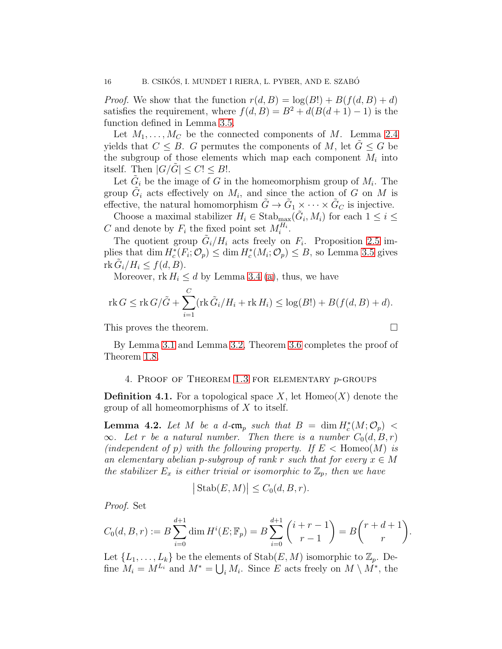*Proof.* We show that the function  $r(d, B) = \log(B!) + B(f(d, B) + d)$ satisfies the requirement, where  $f(d, B) = B^2 + d(B(d + 1) - 1)$  is the function defined in Lemma [3.5.](#page-14-0)

Let  $M_1, \ldots, M_C$  be the connected components of M. Lemma [2.4](#page-4-5) yields that  $C \leq B$ . G permutes the components of M, let  $G \leq G$  be the subgroup of those elements which map each component  $M_i$  into itself. Then  $|G/G| \leq C! \leq B!$ .

Let  $\tilde{G}_i$  be the image of G in the homeomorphism group of  $M_i$ . The group  $\tilde{G}_i$  acts effectively on  $M_i$ , and since the action of G on M is effective, the natural homomorphism  $\tilde{G} \to \tilde{G}_1 \times \cdots \times \tilde{G}_C$  is injective.

Choose a maximal stabilizer  $H_i \in \text{Stab}_{\text{max}}(\tilde{G}_i, M_i)$  for each  $1 \leq i \leq$ C and denote by  $F_i$  the fixed point set  $M_i^{H_i}$ .

The quotient group  $\tilde{G}_i/H_i$  acts freely on  $F_i$ . Proposition [2.5](#page-4-0) implies that dim  $H_c^*(F_i; \mathcal{O}_p) \le \dim H_c^*(M_i; \mathcal{O}_p) \le B$ , so Lemma [3.5](#page-14-0) gives  $\operatorname{rk} \tilde{G}_i/H_i \leq f(d,B).$ 

Moreover,  $rk H_i \leq d$  by Lemma [3.4](#page-13-1) [\(a\)](#page-13-0), thus, we have

$$
\operatorname{rk} G \leq \operatorname{rk} G/\tilde{G} + \sum_{i=1}^C (\operatorname{rk} \tilde{G}_i/H_i + \operatorname{rk} H_i) \leq \log(B!) + B(f(d, B) + d).
$$

This proves the theorem.

<span id="page-15-0"></span>By Lemma [3.1](#page-12-2) and Lemma [3.2,](#page-12-3) Theorem [3.6](#page-14-1) completes the proof of Theorem [1.8.](#page-2-0)

## 4. PROOF OF THEOREM  $1.3$  for elementary  $p$ -groups

**Definition 4.1.** For a topological space X, let  $Homeo(X)$  denote the group of all homeomorphisms of  $X$  to itself.

<span id="page-15-1"></span>**Lemma 4.2.** Let M be a d-cm<sub>p</sub> such that  $B = \dim H_c^*(M; \mathcal{O}_p)$  <  $\infty$ . Let r be a natural number. Then there is a number  $C_0(d, B, r)$ (independent of p) with the following property. If  $E <$  Homeo $(M)$  is an elementary abelian p-subgroup of rank r such that for every  $x \in M$ the stabilizer  $E_x$  is either trivial or isomorphic to  $\mathbb{Z}_p$ , then we have

$$
|\operatorname{Stab}(E,M)| \le C_0(d,B,r).
$$

Proof. Set

$$
C_0(d, B, r) := B \sum_{i=0}^{d+1} \dim H^i(E; \mathbb{F}_p) = B \sum_{i=0}^{d+1} {i+r-1 \choose r-1} = B {r+d+1 \choose r}.
$$

Let  $\{L_1, \ldots, L_k\}$  be the elements of  $\text{Stab}(E, M)$  isomorphic to  $\mathbb{Z}_p$ . Define  $M_i = M^{L_i}$  and  $M^* = \bigcup_i M_i$ . Since E acts freely on  $M \setminus M^*$ , the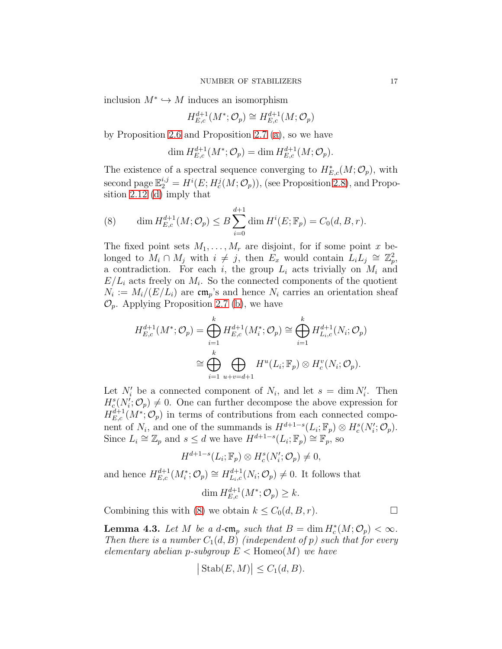inclusion  $M^* \hookrightarrow M$  induces an isomorphism

$$
H_{E,c}^{d+1}(M^*; \mathcal{O}_p) \cong H_{E,c}^{d+1}(M; \mathcal{O}_p)
$$

by Proposition [2.6](#page-6-0) and Proposition [2.7](#page-6-1) [\(a\)](#page-6-3), so we have

$$
\dim H_{E,c}^{d+1}(M^*; \mathcal{O}_p) = \dim H_{E,c}^{d+1}(M; \mathcal{O}_p).
$$

The existence of a spectral sequence converging to  $H^*_{E,c}(M; \mathcal{O}_p)$ , with second page  $\mathbb{E}_2^{i,j} = H^i(E; H_c^j(M; \mathcal{O}_p)),$  (see Proposition [2.8\)](#page-6-2), and Proposition [2.12](#page-7-2) [\(d\)](#page-8-1) imply that

<span id="page-16-0"></span>(8) 
$$
\dim H_{E,c}^{d+1}(M; \mathcal{O}_p) \leq B \sum_{i=0}^{d+1} \dim H^i(E; \mathbb{F}_p) = C_0(d, B, r).
$$

The fixed point sets  $M_1, \ldots, M_r$  are disjoint, for if some point x belonged to  $M_i \cap M_j$  with  $i \neq j$ , then  $E_x$  would contain  $L_i L_j \cong \mathbb{Z}_p^2$ , a contradiction. For each i, the group  $L_i$  acts trivially on  $M_i$  and  $E/L_i$  acts freely on  $M_i$ . So the connected components of the quotient  $N_i := M_i/(E/L_i)$  are cm<sub>p</sub>'s and hence  $N_i$  carries an orientation sheaf  $\mathcal{O}_p$ . Applying Proposition [2.7](#page-6-1) [\(b\)](#page-6-4), we have

$$
H_{E,c}^{d+1}(M^*; \mathcal{O}_p) = \bigoplus_{i=1}^k H_{E,c}^{d+1}(M_i^*; \mathcal{O}_p) \cong \bigoplus_{i=1}^k H_{L_i,c}^{d+1}(N_i; \mathcal{O}_p)
$$
  

$$
\cong \bigoplus_{i=1}^k \bigoplus_{u+v=d+1} H^u(L_i; \mathbb{F}_p) \otimes H_c^v(N_i; \mathcal{O}_p).
$$

Let  $N'_i$  be a connected component of  $N_i$ , and let  $s = \dim N'_i$ . Then  $H_c^s(N_i;\mathcal{O}_p) \neq 0$ . One can further decompose the above expression for  $H_{E,c}^{d+1}(M^*; \mathcal{O}_p)$  in terms of contributions from each connected component of  $N_i$ , and one of the summands is  $H^{d+1-s}(L_i; \mathbb{F}_p) \otimes H_c^s(N_i; \mathcal{O}_p)$ . Since  $L_i \cong \mathbb{Z}_p$  and  $s \leq d$  we have  $H^{d+1-s}(L_i; \mathbb{F}_p) \cong \mathbb{F}_p$ , so

$$
H^{d+1-s}(L_i; \mathbb{F}_p) \otimes H_c^s(N_i'; \mathcal{O}_p) \neq 0,
$$

and hence  $H_{E,c}^{d+1}(M_i^*; \mathcal{O}_p) \cong H_{L_i,c}^{d+1}(N_i; \mathcal{O}_p) \neq 0$ . It follows that

$$
\dim H_{E,c}^{d+1}(M^*; \mathcal{O}_p) \geq k.
$$

Combining this with [\(8\)](#page-16-0) we obtain  $k \leq C_0(d, B, r)$ .

<span id="page-16-1"></span>**Lemma 4.3.** Let M be a d-cm<sub>p</sub> such that  $B = \dim H_c^*(M; \mathcal{O}_p) < \infty$ . Then there is a number  $C_1(d, B)$  (independent of p) such that for every elementary abelian p-subgroup  $E <$  Homeo $(M)$  we have

$$
|\operatorname{Stab}(E,M)| \le C_1(d,B).
$$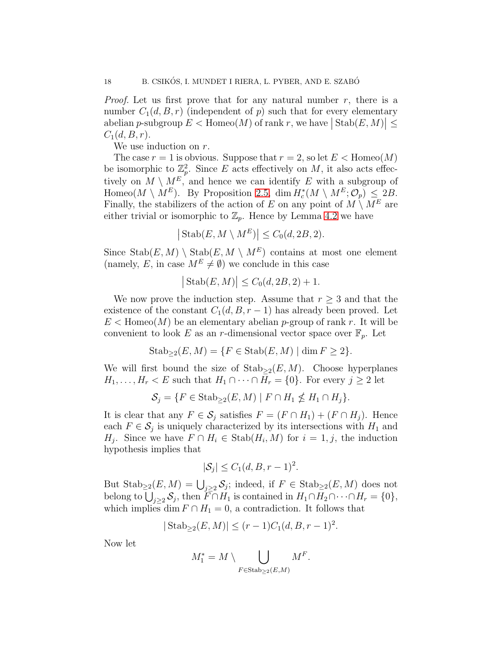*Proof.* Let us first prove that for any natural number  $r$ , there is a number  $C_1(d, B, r)$  (independent of p) such that for every elementary abelian p-subgroup  $E <$  Homeo(M) of rank r, we have  $|\operatorname{Stab}(E,M)| \leq$  $C_1(d, B, r)$ .

We use induction on r.

The case  $r = 1$  is obvious. Suppose that  $r = 2$ , so let  $E <$  Homeo $(M)$ be isomorphic to  $\mathbb{Z}_p^2$ . Since E acts effectively on M, it also acts effectively on  $M \setminus M^E$ , and hence we can identify E with a subgroup of Homeo( $M \setminus M^E$ ). By Proposition [2.5,](#page-4-0) dim  $H_c^*(M \setminus M^E; \mathcal{O}_p) \leq 2B$ . Finally, the stabilizers of the action of E on any point of  $M \setminus M^E$  are either trivial or isomorphic to  $\mathbb{Z}_p$ . Hence by Lemma [4.2](#page-15-1) we have

$$
\left| \text{Stab}(E, M \setminus M^E) \right| \leq C_0(d, 2B, 2).
$$

Since  $\text{Stab}(E, M) \setminus \text{Stab}(E, M \setminus M^E)$  contains at most one element (namely, E, in case  $M^E \neq \emptyset$ ) we conclude in this case

$$
|\operatorname{Stab}(E,M)| \le C_0(d, 2B, 2) + 1.
$$

We now prove the induction step. Assume that  $r \geq 3$  and that the existence of the constant  $C_1(d, B, r-1)$  has already been proved. Let  $E <$  Homeo(M) be an elementary abelian p-group of rank r. It will be convenient to look E as an r-dimensional vector space over  $\mathbb{F}_p$ . Let

$$
Stab_{\geq 2}(E, M) = \{ F \in Stab(E, M) \mid \dim F \geq 2 \}.
$$

We will first bound the size of  $\text{Stab}_{\geq 2}(E, M)$ . Choose hyperplanes  $H_1, \ldots, H_r < E$  such that  $H_1 \cap \cdots \cap H_r = \{0\}$ . For every  $j \geq 2$  let

$$
\mathcal{S}_j = \{ F \in \text{Stab}_{\geq 2}(E, M) \mid F \cap H_1 \nleq H_1 \cap H_j \}.
$$

It is clear that any  $F \in \mathcal{S}_j$  satisfies  $F = (F \cap H_1) + (F \cap H_j)$ . Hence each  $F \in \mathcal{S}_j$  is uniquely characterized by its intersections with  $H_1$  and  $H_j$ . Since we have  $F \cap H_i \in \text{Stab}(H_i, M)$  for  $i = 1, j$ , the induction hypothesis implies that

$$
|\mathcal{S}_j| \le C_1(d, B, r-1)^2.
$$

But  $\text{Stab}_{\geq 2}(E, M) = \bigcup_{j\geq 2} \mathcal{S}_j$ ; indeed, if  $F \in \text{Stab}_{\geq 2}(E, M)$  does not belong to  $\bigcup_{j\geq 2} S_j$ , then  $F \cap H_1$  is contained in  $H_1 \cap H_2 \cap \cdots \cap H_r = \{0\},\$ which implies dim  $F \cap H_1 = 0$ , a contradiction. It follows that

$$
|\operatorname{Stab}_{\geq 2}(E, M)| \leq (r-1)C_1(d, B, r-1)^2.
$$

Now let

$$
M_1^* = M \setminus \bigcup_{F \in \text{Stab}_{\geq 2}(E,M)} M^F.
$$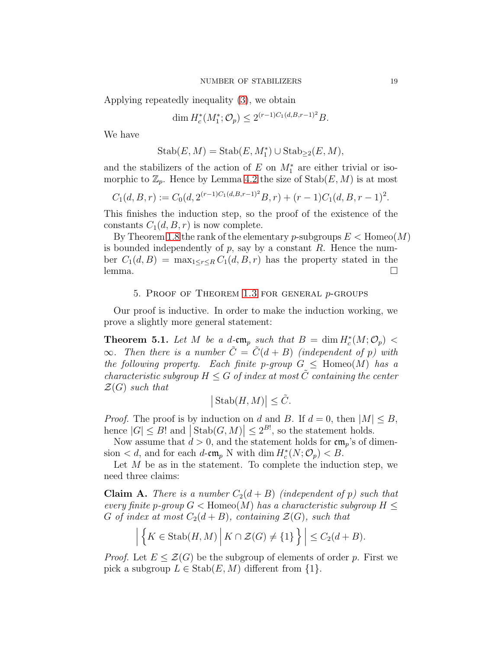Applying repeatedly inequality [\(3\)](#page-4-3), we obtain

$$
\dim H_c^*(M_1^*; \mathcal{O}_p) \le 2^{(r-1)C_1(d, B, r-1)^2} B.
$$

We have

$$
Stab(E, M) = Stab(E, M1*) \cup Stab\geq 2(E, M),
$$

and the stabilizers of the action of E on  $M_1^*$  are either trivial or isomorphic to  $\mathbb{Z}_p$ . Hence by Lemma [4.2](#page-15-1) the size of  $\text{Stab}(E, M)$  is at most

$$
C_1(d, B, r) := C_0(d, 2^{(r-1)C_1(d, B, r-1)^2}B, r) + (r-1)C_1(d, B, r-1)^2.
$$

This finishes the induction step, so the proof of the existence of the constants  $C_1(d, B, r)$  is now complete.

By Theorem [1.8](#page-2-0) the rank of the elementary p-subgroups  $E <$  Homeo $(M)$ is bounded independently of  $p$ , say by a constant  $R$ . Hence the number  $C_1(d, B) = \max_{1 \leq r \leq R} C_1(d, B, r)$  has the property stated in the  $\Box$  lemma.

### 5. PROOF OF THEOREM [1.3](#page-1-0) FOR GENERAL  $p$ -GROUPS

<span id="page-18-0"></span>Our proof is inductive. In order to make the induction working, we prove a slightly more general statement:

<span id="page-18-2"></span>**Theorem 5.1.** Let M be a d-cm<sub>p</sub> such that  $B = \dim H_c^*(M; \mathcal{O}_p)$  <  $\infty$ . Then there is a number  $\tilde{C} = \tilde{C}(d + B)$  (independent of p) with the following property. Each finite p-group  $G \leq \text{Homeo}(M)$  has a characteristic subgroup  $H \leq G$  of index at most  $\tilde{C}$  containing the center  $\mathcal{Z}(G)$  such that

$$
|\operatorname{Stab}(H,M)| \le \tilde{C}.
$$

*Proof.* The proof is by induction on d and B. If  $d = 0$ , then  $|M| \leq B$ , hence  $|G| \leq B!$  and  $|\text{Stab}(G, M)| \leq 2^{B!}$ , so the statement holds.

Now assume that  $d > 0$ , and the statement holds for  $\mathfrak{cm}_n$ 's of dimension  $d$ , and for each  $d$ -cm<sub>p</sub> N with dim  $H_c^*(N; \mathcal{O}_p) < B$ .

Let  $M$  be as in the statement. To complete the induction step, we need three claims:

<span id="page-18-1"></span>**Claim A.** There is a number  $C_2(d+B)$  (independent of p) such that every finite p-group  $G <$  Homeo(M) has a characteristic subgroup  $H \leq$ G of index at most  $C_2(d+B)$ , containing  $\mathcal{Z}(G)$ , such that

$$
\left| \left\{ K \in \text{Stab}(H, M) \, \middle| \, K \cap \mathcal{Z}(G) \neq \{1\} \right\} \right| \leq C_2(d + B).
$$

*Proof.* Let  $E \leq \mathcal{Z}(G)$  be the subgroup of elements of order p. First we pick a subgroup  $L \in \text{Stab}(E, M)$  different from  $\{1\}.$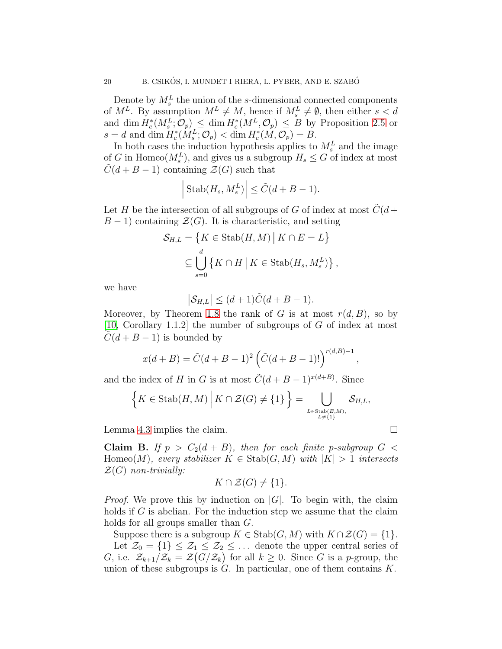Denote by  $M_s^L$  the union of the s-dimensional connected components of  $M^L$ . By assumption  $M^L \neq M$ , hence if  $M_s^L \neq \emptyset$ , then either  $s < d$ and dim  $H_c^*(M_s^L; \mathcal{O}_p) \leq \dim H_c^*(M^L, \mathcal{O}_p) \leq B$  by Proposition [2.5](#page-4-0) or  $s = d$  and dim  $H_c^*(M_s^L; \mathcal{O}_p) < \dim H_c^*(M, \mathcal{O}_p) = B$ .

In both cases the induction hypothesis applies to  $M_s^L$  and the image of G in Homeo( $M_s^L$ ), and gives us a subgroup  $H_s \leq G$  of index at most  $\tilde{C}(d+B-1)$  containing  $\mathcal{Z}(G)$  such that

$$
\left| \text{Stab}(H_s, M_s^L) \right| \le \tilde{C}(d + B - 1).
$$

Let H be the intersection of all subgroups of G of index at most  $\ddot{C}(d +$  $B-1$ ) containing  $\mathcal{Z}(G)$ . It is characteristic, and setting

$$
\mathcal{S}_{H,L} = \{ K \in \text{Stab}(H,M) \mid K \cap E = L \}
$$
  

$$
\subseteq \bigcup_{s=0}^{d} \{ K \cap H \mid K \in \text{Stab}(H_s, M_s^L) \},
$$

we have

$$
|\mathcal{S}_{H,L}| \le (d+1)\tilde{C}(d+B-1).
$$

Moreover, by Theorem [1.8](#page-2-0) the rank of G is at most  $r(d, B)$ , so by [\[10,](#page-23-7) Corollary 1.1.2] the number of subgroups of G of index at most  $C(d + B - 1)$  is bounded by

$$
x(d+B) = \tilde{C}(d+B-1)^2 \left( \tilde{C}(d+B-1)! \right)^{r(d,B)-1},
$$

and the index of H in G is at most  $\tilde{C}(d + B - 1)^{x(d+B)}$ . Since

$$
\left\{K\in \text{Stab}(H,M)\,\middle|\, K\cap\mathcal{Z}(G)\neq\{1\}\right\}=\bigcup_{L\in \text{Stab}(E,M),\atop L\neq\{1\}}\mathcal{S}_{H,L},
$$

Lemma [4.3](#page-16-1) implies the claim.

<span id="page-19-0"></span>Claim B. If  $p > C_2(d + B)$ , then for each finite p-subgroup  $G <$ Homeo(M), every stabilizer  $K \in \text{Stab}(G, M)$  with  $|K| > 1$  intersects  $\mathcal{Z}(G)$  non-trivially:

$$
K \cap \mathcal{Z}(G) \neq \{1\}.
$$

*Proof.* We prove this by induction on  $|G|$ . To begin with, the claim holds if  $G$  is abelian. For the induction step we assume that the claim holds for all groups smaller than G.

Suppose there is a subgroup  $K \in \text{Stab}(G, M)$  with  $K \cap \mathcal{Z}(G) = \{1\}.$ 

Let  $\mathcal{Z}_0 = \{1\} \leq \mathcal{Z}_1 \leq \mathcal{Z}_2 \leq \ldots$  denote the upper central series of G, i.e.  $\mathcal{Z}_{k+1}/\mathcal{Z}_k = \mathcal{Z}(G/\mathcal{Z}_k)$  for all  $k \geq 0$ . Since G is a p-group, the union of these subgroups is  $G$ . In particular, one of them contains  $K$ .

$$
\sqcup
$$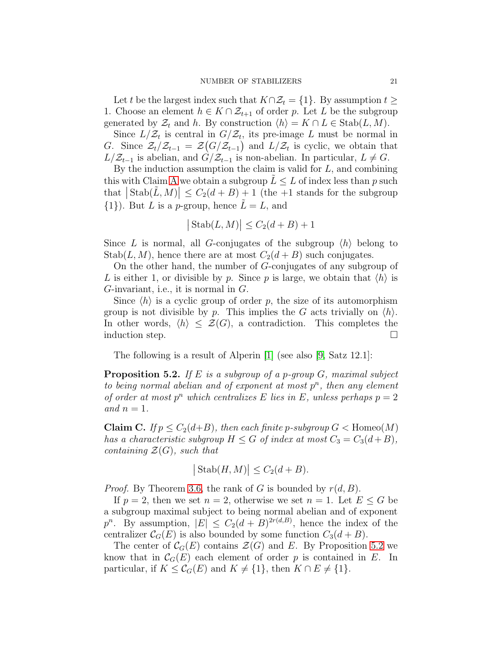Let t be the largest index such that  $K \cap \mathcal{Z}_t = \{1\}$ . By assumption  $t \geq$ 1. Choose an element  $h \in K \cap \mathcal{Z}_{t+1}$  of order p. Let L be the subgroup generated by  $\mathcal{Z}_t$  and h. By construction  $\langle h \rangle = K \cap L \in \text{Stab}(L, M)$ .

Since  $L/\mathcal{Z}_t$  is central in  $G/\mathcal{Z}_t$ , its pre-image L must be normal in G. Since  $\mathcal{Z}_t/\mathcal{Z}_{t-1} = \mathcal{Z}(G/\mathcal{Z}_{t-1})$  and  $L/\mathcal{Z}_t$  is cyclic, we obtain that  $L/Z_{t-1}$  is abelian, and  $G/Z_{t-1}$  is non-abelian. In particular,  $L \neq G$ .

By the induction assumption the claim is valid for  $L$ , and combining this with Claim [A](#page-18-1) we obtain a subgroup  $L \leq L$  of index less than p such that  $|\operatorname{Stab}(\tilde{L},M)| \leq C_2(d+B) + 1$  (the +1 stands for the subgroup  $\{1\}$ ). But L is a p-group, hence  $L = L$ , and

$$
|\operatorname{Stab}(L,M)| \le C_2(d+B) + 1
$$

Since L is normal, all G-conjugates of the subgroup  $\langle h \rangle$  belong to Stab(L, M), hence there are at most  $C_2(d+B)$  such conjugates.

On the other hand, the number of G-conjugates of any subgroup of L is either 1, or divisible by p. Since p is large, we obtain that  $\langle h \rangle$  is G-invariant, i.e., it is normal in  $G$ .

Since  $\langle h \rangle$  is a cyclic group of order p, the size of its automorphism group is not divisible by p. This implies the G acts trivially on  $\langle h \rangle$ . In other words,  $\langle h \rangle \leq \mathcal{Z}(G)$ , a contradiction. This completes the induction step.  $\Box$ 

The following is a result of Alperin [\[1\]](#page-22-3) (see also [\[9,](#page-23-8) Satz 12.1]:

<span id="page-20-0"></span>**Proposition 5.2.** If E is a subgroup of a p-group  $G$ , maximal subject to being normal abelian and of exponent at most  $p^n$ , then any element of order at most  $p^n$  which centralizes E lies in E, unless perhaps  $p = 2$ and  $n = 1$ .

<span id="page-20-1"></span>**Claim C.** If  $p \leq C_2(d+B)$ , then each finite p-subgroup  $G <$  Homeo $(M)$ has a characteristic subgroup  $H \leq G$  of index at most  $C_3 = C_3(d+B)$ , containing  $\mathcal{Z}(G)$ , such that

$$
|\operatorname{Stab}(H,M)| \le C_2(d+B).
$$

*Proof.* By Theorem [3.6,](#page-14-1) the rank of G is bounded by  $r(d, B)$ .

If  $p = 2$ , then we set  $n = 2$ , otherwise we set  $n = 1$ . Let  $E \leq G$  be a subgroup maximal subject to being normal abelian and of exponent  $p^{n}$ . By assumption,  $|E| \leq C_2(d+B)^{2r(d,B)}$ , hence the index of the centralizer  $\mathcal{C}_G(E)$  is also bounded by some function  $C_3(d+B)$ .

The center of  $\mathcal{C}_G(E)$  contains  $\mathcal{Z}(G)$  and E. By Proposition [5.2](#page-20-0) we know that in  $\mathcal{C}_G(E)$  each element of order p is contained in E. In particular, if  $K \leq \mathcal{C}_G(E)$  and  $K \neq \{1\}$ , then  $K \cap E \neq \{1\}$ .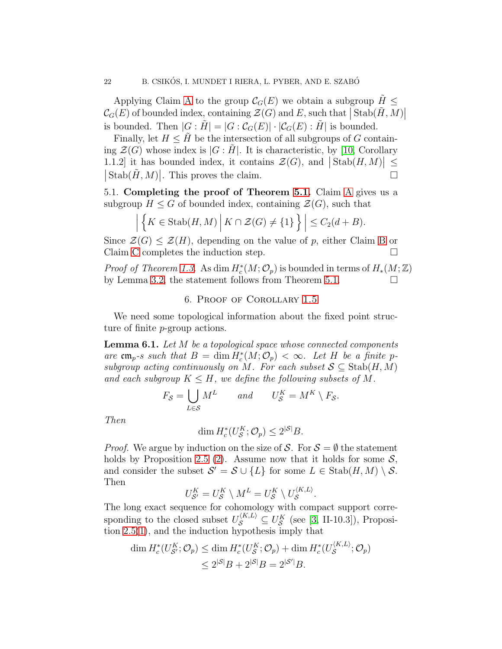Applying Claim [A](#page-18-1) to the group  $\mathcal{C}_G(E)$  we obtain a subgroup  $H \leq$  $\mathcal{C}_G(E)$  of bounded index, containing  $\mathcal{Z}(G)$  and E, such that  $|\operatorname{Stab}(\tilde{H},M)|$ is bounded. Then  $|G : H| = |G : C_G(E)| \cdot |C_G(E) : H|$  is bounded.

Finally, let  $H \leq H$  be the intersection of all subgroups of G containing  $\mathcal{Z}(G)$  whose index is  $|G : H|$ . It is characteristic, by [\[10,](#page-23-7) Corollary 1.1.2] it has bounded index, it contains  $\mathcal{Z}(G)$ , and  $|\text{Stab}(H,M)| \le$  $|\operatorname{Stab}(\tilde{H},M)|$ . This proves the claim.

5.1. Completing the proof of Theorem [5.1.](#page-18-2) Claim [A](#page-18-1) gives us a subgroup  $H \leq G$  of bounded index, containing  $\mathcal{Z}(G)$ , such that

$$
\left| \left\{ K \in \text{Stab}(H, M) \, \middle| \, K \cap \mathcal{Z}(G) \neq \{1\} \right\} \right| \leq C_2(d + B).
$$

Since  $\mathcal{Z}(G) \leq \mathcal{Z}(H)$ , depending on the value of p, either Claim [B](#page-19-0) or Claim [C](#page-20-1) completes the induction step.  $\Box$ 

*Proof of Theorem [1.3.](#page-1-0)* As dim  $H_c^*(M; \mathcal{O}_p)$  is bounded in terms of  $H_*(M; \mathbb{Z})$ by Lemma [3.2,](#page-12-3) the statement follows from Theorem [5.1.](#page-18-2)  $\Box$ 

## 6. Proof of Corollary [1.5](#page-1-1)

We need some topological information about the fixed point structure of finite p-group actions.

<span id="page-21-0"></span>Lemma 6.1. Let M be a topological space whose connected components are  $\mathfrak{cm}_p$ -s such that  $B = \dim H_c^*(M; \mathcal{O}_p) < \infty$ . Let H be a finite psubgroup acting continuously on M. For each subset  $S \subseteq$  Stab $(H, M)$ and each subgroup  $K \leq H$ , we define the following subsets of M.

$$
F_{\mathcal{S}} = \bigcup_{L \in \mathcal{S}} M^L \qquad and \qquad U_{\mathcal{S}}^K = M^K \setminus F_{\mathcal{S}}.
$$

Then

$$
\dim H_c^*(U_{\mathcal{S}}^K; \mathcal{O}_p) \le 2^{|\mathcal{S}|}B.
$$

*Proof.* We argue by induction on the size of S. For  $S = \emptyset$  the statement holds by Proposition [2.5](#page-4-0) [\(2\)](#page-4-1). Assume now that it holds for some  $S$ , and consider the subset  $\mathcal{S}' = \mathcal{S} \cup \{L\}$  for some  $L \in \text{Stab}(H, M) \setminus \mathcal{S}$ . Then

$$
U_{\mathcal{S}'}^K = U_{\mathcal{S}}^K \setminus M^L = U_{\mathcal{S}}^K \setminus U_{\mathcal{S}}^{\langle K, L \rangle}.
$$

The long exact sequence for cohomology with compact support corresponding to the closed subset  $U_{\mathcal{S}}^{\langle K,L \rangle} \subseteq U_{\mathcal{S}}^K$  (see [\[3,](#page-22-1) II-10.3]), Proposition [2.5\(](#page-4-0)[1\)](#page-4-2), and the induction hypothesis imply that

$$
\dim H_c^*(U_{\mathcal{S}'}^K; \mathcal{O}_p) \le \dim H_c^*(U_{\mathcal{S}}^K; \mathcal{O}_p) + \dim H_c^*(U_{\mathcal{S}}^{(K,L)}; \mathcal{O}_p)
$$
  

$$
\le 2^{|{\mathcal{S}}|}B + 2^{|{\mathcal{S}}|}B = 2^{|{\mathcal{S}}'|}B.
$$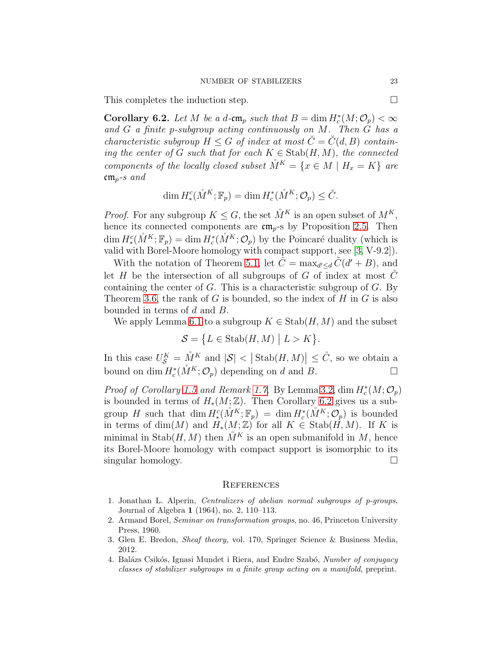This completes the induction step.

<span id="page-22-4"></span>**Corollary 6.2.** Let M be a d-cm<sub>p</sub> such that  $B = \dim H_c^*(M; \mathcal{O}_p) < \infty$ and G a finite p-subgroup acting continuously on M. Then G has a characteristic subgroup  $H \leq G$  of index at most  $\check{C} = \check{C}(d, B)$  containing the center of G such that for each  $K \in \text{Stab}(H, M)$ , the connected components of the locally closed subset  $\mathring{M}^K = \{x \in M \mid H_x = K\}$  are  $\mathfrak{cm}_{p^{-}s}$  and

$$
\dim H^c_*(\mathring{M}^K; \mathbb{F}_p) = \dim H^*_c(\mathring{M}^K; \mathcal{O}_p) \leq \breve{C}.
$$

*Proof.* For any subgroup  $K \leq G$ , the set  $\mathring{M}^K$  is an open subset of  $M^K$ , hence its connected components are  $\mathfrak{cm}_{p}$ -s by Proposition [2.5.](#page-4-0) Then  $\dim H^c_*(\mathring{M}^K; \mathbb{F}_p) = \dim H^*_c(\mathring{M}^K; \mathcal{O}_p)$  by the Poincaré duality (which is valid with Borel-Moore homology with compact support, see [\[3,](#page-22-1) V-9.2]).

With the notation of Theorem [5.1,](#page-18-2) let  $\hat{C} = \max_{d' \le d} \tilde{C}(d' + B)$ , and let H be the intersection of all subgroups of G of index at most  $\hat{C}$ containing the center of  $G$ . This is a characteristic subgroup of  $G$ . By Theorem [3.6,](#page-14-1) the rank of  $G$  is bounded, so the index of  $H$  in  $G$  is also bounded in terms of d and B.

We apply Lemma [6.1](#page-21-0) to a subgroup  $K \in \text{Stab}(H, M)$  and the subset

$$
\mathcal{S} = \{ L \in \text{Stab}(H, M) \mid L > K \}.
$$

In this case  $U_{\mathcal{S}}^K = \mathring{M}^K$  and  $|\mathcal{S}| < |\text{Stab}(H, M)| \leq \hat{C}$ , so we obtain a bound on dim  $H_c^*(\mathring{M}^K; \mathcal{O}_p)$  depending on d and B.

*Proof of Corollary [1.5](#page-1-1) and Remark [1.7.](#page-2-1)* By Lemma [3.2,](#page-12-3)  $\dim H_c^*(M; \mathcal{O}_p)$ is bounded in terms of  $H_*(M;\mathbb{Z})$ . Then Corollary [6.2](#page-22-4) gives us a subgroup H such that  $\dim H^c_*(\mathring{M}^K; \mathbb{F}_p) = \dim H^*_c(\mathring{M}^K; \mathcal{O}_p)$  is bounded in terms of dim(M) and  $H_*(M;\mathbb{Z})$  for all  $K \in \text{Stab}(H,M)$ . If K is minimal in  $\text{Stab}(H, M)$  then  $\tilde{M}^K$  is an open submanifold in M, hence its Borel-Moore homology with compact support is isomorphic to its singular homology.

#### **REFERENCES**

- <span id="page-22-3"></span>1. Jonathan L. Alperin, Centralizers of abelian normal subgroups of p-groups, Journal of Algebra 1 (1964), no. 2, 110–113.
- <span id="page-22-2"></span>2. Armand Borel, Seminar on transformation groups, no. 46, Princeton University Press, 1960.
- <span id="page-22-1"></span><span id="page-22-0"></span>3. Glen E. Bredon, Sheaf theory, vol. 170, Springer Science & Business Media, 2012.
- 4. Balázs Csikós, Ignasi Mundet i Riera, and Endre Szabó, Number of conjugacy classes of stabilizer subgroups in a finite group acting on a manifold, preprint.